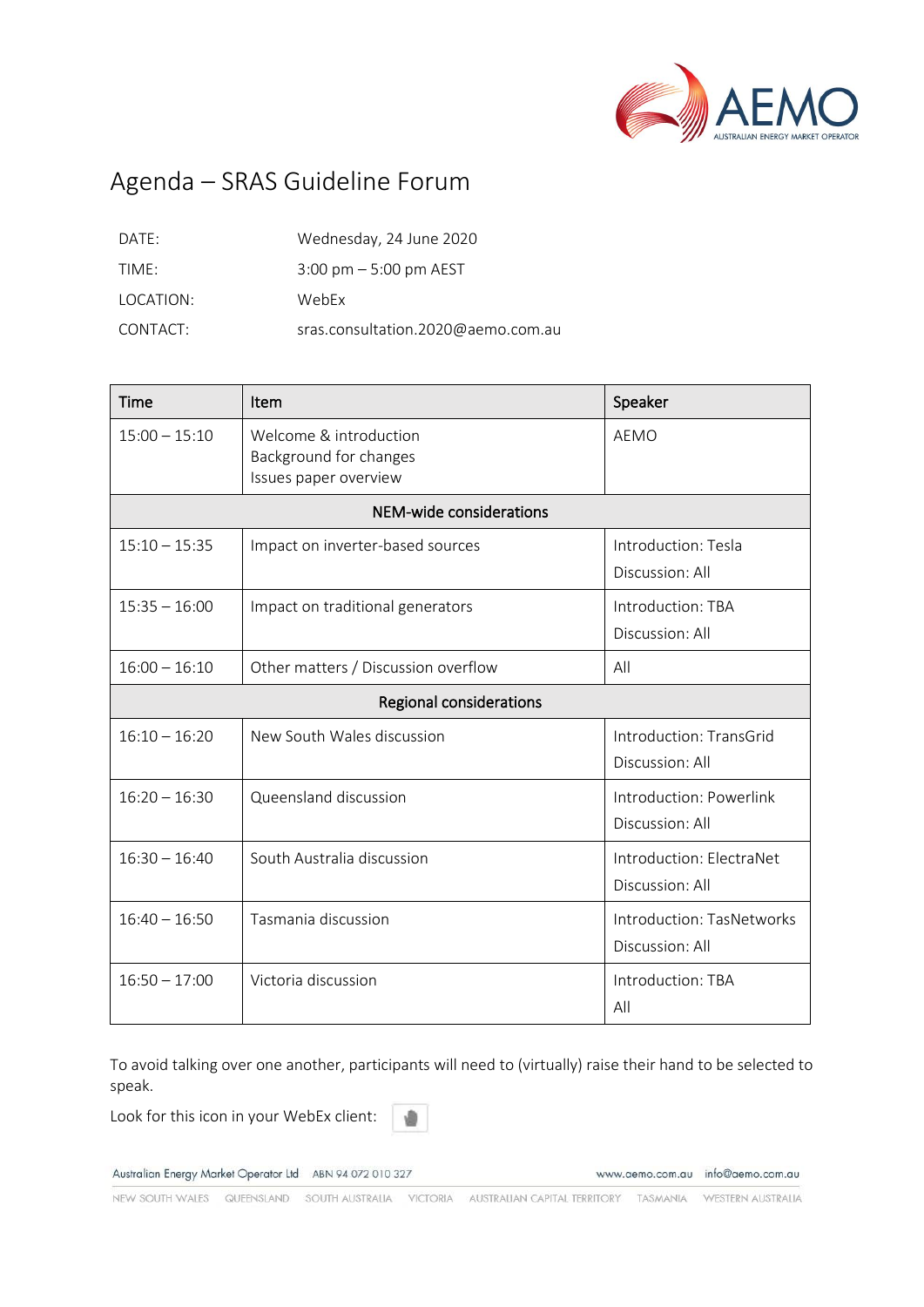

# Agenda – SRAS Guideline Forum

| DATE:     | Wednesday, 24 June 2020                  |
|-----------|------------------------------------------|
| TIMF:     | $3:00 \text{ pm} - 5:00 \text{ pm}$ AEST |
| LOCATION: | WebFx                                    |
| CONTACT:  | sras.consultation.2020@aemo.com.au       |

| Time                           | Item                                                                      | Speaker                                      |
|--------------------------------|---------------------------------------------------------------------------|----------------------------------------------|
| $15:00 - 15:10$                | Welcome & introduction<br>Background for changes<br>Issues paper overview | <b>AEMO</b>                                  |
| NEM-wide considerations        |                                                                           |                                              |
| $15:10 - 15:35$                | Impact on inverter-based sources                                          | Introduction: Tesla<br>Discussion: All       |
| $15:35 - 16:00$                | Impact on traditional generators                                          | Introduction: TBA<br>Discussion: All         |
| $16:00 - 16:10$                | Other matters / Discussion overflow                                       | All                                          |
| <b>Regional considerations</b> |                                                                           |                                              |
| $16:10 - 16:20$                | New South Wales discussion                                                | Introduction: TransGrid<br>Discussion: All   |
| $16:20 - 16:30$                | Queensland discussion                                                     | Introduction: Powerlink<br>Discussion: All   |
| $16:30 - 16:40$                | South Australia discussion                                                | Introduction: ElectraNet<br>Discussion: All  |
| $16:40 - 16:50$                | Tasmania discussion                                                       | Introduction: TasNetworks<br>Discussion: All |
| $16:50 - 17:00$                | Victoria discussion                                                       | Introduction: TBA<br>All                     |

To avoid talking over one another, participants will need to (virtually) raise their hand to be selected to speak.

Look for this icon in your WebEx client:

Australian Energy Market Operator Ltd ABN 94 072 010 327

www.aemo.com.au info@aemo.com.au

NEW SOUTH WALES QUEENSLAND SOUTH AUSTRALIA VICTORIA AUSTRALIAN CAPITAL TERRITORY TASMANIA WESTERN AUSTRALIA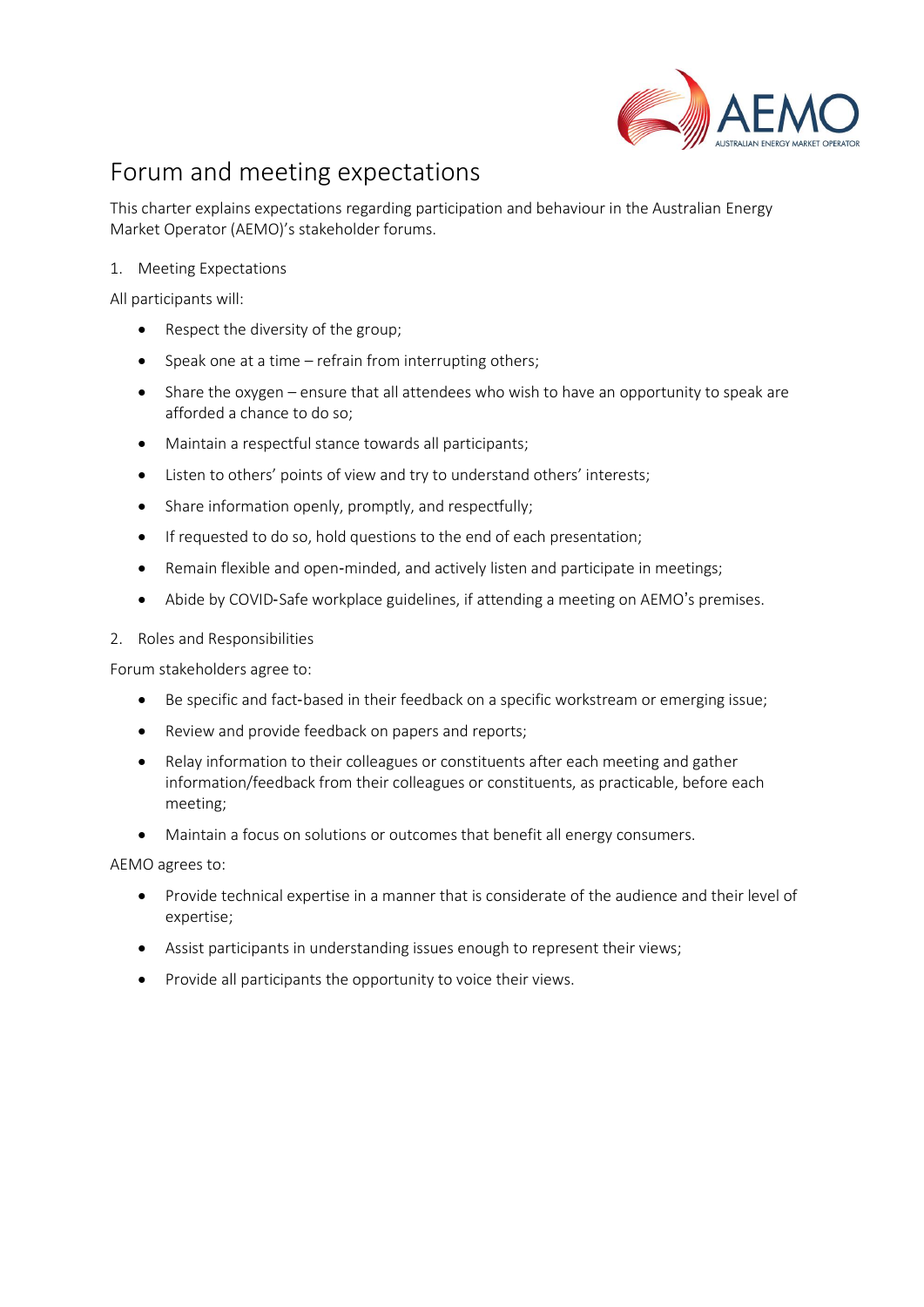

# Forum and meeting expectations

This charter explains expectations regarding participation and behaviour in the Australian Energy Market Operator (AEMO)'s stakeholder forums.

1. Meeting Expectations

All participants will:

- Respect the diversity of the group;
- Speak one at a time refrain from interrupting others;
- Share the oxygen ensure that all attendees who wish to have an opportunity to speak are afforded a chance to do so;
- Maintain a respectful stance towards all participants;
- Listen to others' points of view and try to understand others' interests;
- Share information openly, promptly, and respectfully;
- If requested to do so, hold questions to the end of each presentation;
- Remain flexible and open-minded, and actively listen and participate in meetings;
- Abide by COVID‐Safe workplace guidelines, if attending a meeting on AEMO's premises.
- 2. Roles and Responsibilities

Forum stakeholders agree to:

- Be specific and fact-based in their feedback on a specific workstream or emerging issue;
- Review and provide feedback on papers and reports;
- Relay information to their colleagues or constituents after each meeting and gather information/feedback from their colleagues or constituents, as practicable, before each meeting;
- Maintain a focus on solutions or outcomes that benefit all energy consumers.

AEMO agrees to:

- Provide technical expertise in a manner that is considerate of the audience and their level of expertise;
- Assist participants in understanding issues enough to represent their views;
- Provide all participants the opportunity to voice their views.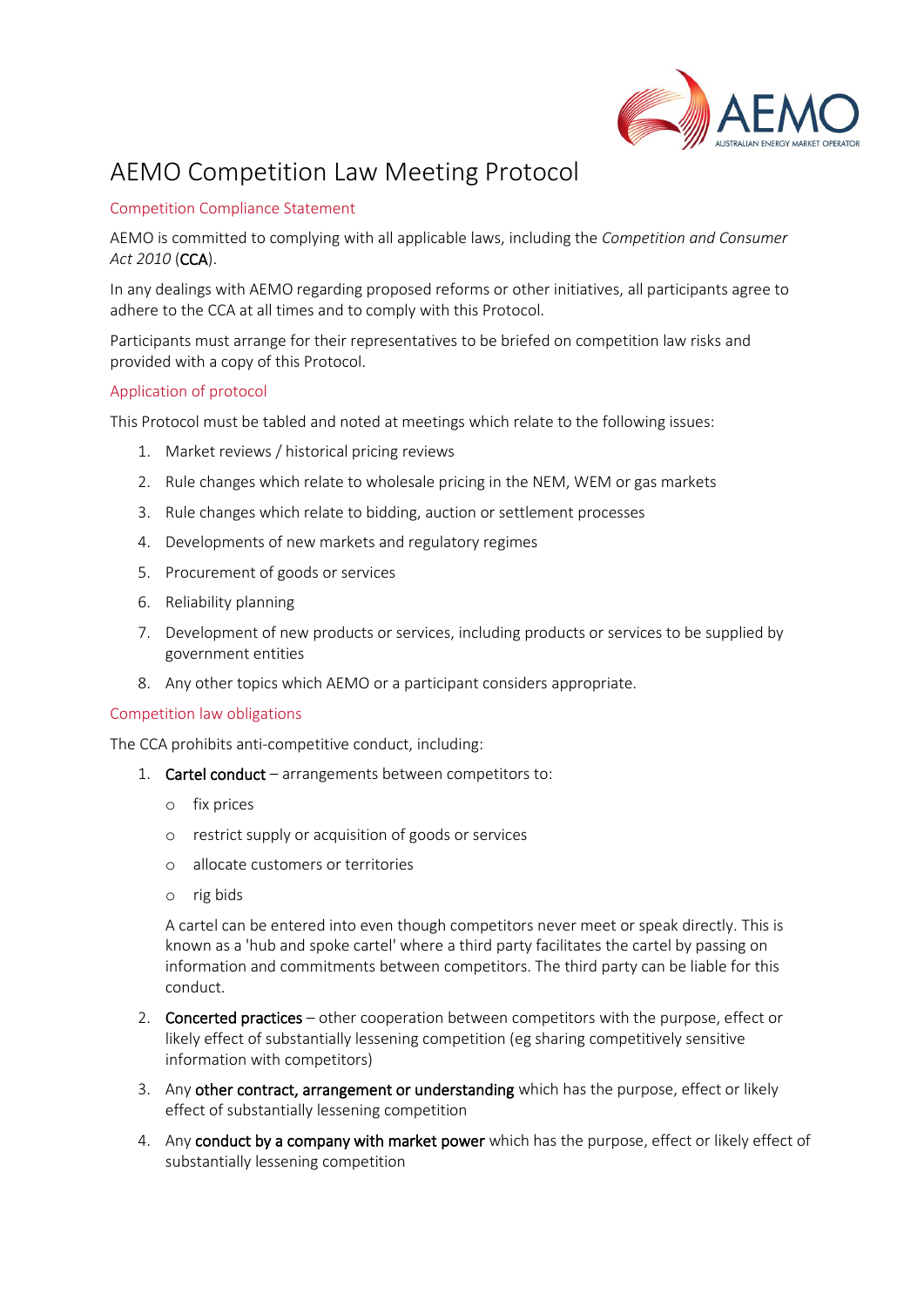

## AEMO Competition Law Meeting Protocol

## Competition Compliance Statement

AEMO is committed to complying with all applicable laws, including the *Competition and Consumer Act 2010* (CCA).

In any dealings with AEMO regarding proposed reforms or other initiatives, all participants agree to adhere to the CCA at all times and to comply with this Protocol.

Participants must arrange for their representatives to be briefed on competition law risks and provided with a copy of this Protocol.

#### Application of protocol

This Protocol must be tabled and noted at meetings which relate to the following issues:

- 1. Market reviews / historical pricing reviews
- 2. Rule changes which relate to wholesale pricing in the NEM, WEM or gas markets
- 3. Rule changes which relate to bidding, auction or settlement processes
- 4. Developments of new markets and regulatory regimes
- 5. Procurement of goods or services
- 6. Reliability planning
- 7. Development of new products or services, including products or services to be supplied by government entities
- 8. Any other topics which AEMO or a participant considers appropriate.

#### Competition law obligations

The CCA prohibits anti-competitive conduct, including:

- 1. Cartel conduct arrangements between competitors to:
	- o fix prices
	- o restrict supply or acquisition of goods or services
	- o allocate customers or territories
	- o rig bids

A cartel can be entered into even though competitors never meet or speak directly. This is known as a 'hub and spoke cartel' where a third party facilitates the cartel by passing on information and commitments between competitors. The third party can be liable for this conduct.

- 2. Concerted practices other cooperation between competitors with the purpose, effect or likely effect of substantially lessening competition (eg sharing competitively sensitive information with competitors)
- 3. Any other contract, arrangement or understanding which has the purpose, effect or likely effect of substantially lessening competition
- 4. Any conduct by a company with market power which has the purpose, effect or likely effect of substantially lessening competition